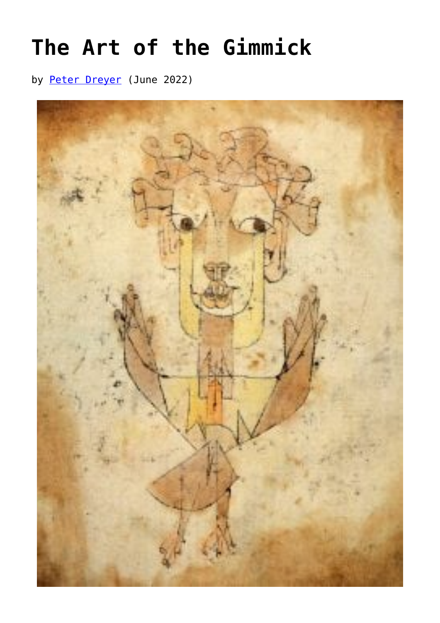## **[The Art of the Gimmick](https://www.newenglishreview.org/articles/the-art-of-the-gimmick/)**

by [Peter Dreyer](https://www.newenglishreview.org/authors/peter-dreyer/) (June 2022)

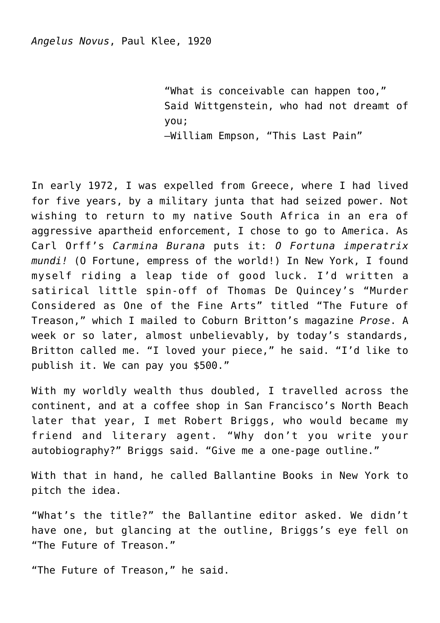"What is conceivable can happen too," Said Wittgenstein, who had not dreamt of you; —William Empson, "This Last Pain"

In early 1972, I was expelled from Greece, where I had lived for five years, by a military junta that had seized power. Not wishing to return to my native South Africa in an era of aggressive apartheid enforcement, I chose to go to America, As Carl Orff's *Carmina Burana* puts it: *O Fortuna imperatrix mundi!* (O Fortune, empress of the world!) In New York, I found myself riding a leap tide of good luck. I'd written a satirical little spin-off of Thomas De Quincey's "Murder Considered as One of the Fine Arts" titled "The Future of Treason," which I mailed to Coburn Britton's magazine *Prose*. A week or so later, almost unbelievably, by today's standards, Britton called me. "I loved your piece," he said. "I'd like to publish it. We can pay you \$500."

With my worldly wealth thus doubled, I travelled across the continent, and at a coffee shop in San Francisco's North Beach later that year, I met Robert Briggs, who would became my friend and literary agent. "Why don't you write your autobiography?" Briggs said. "Give me a one-page outline."

With that in hand, he called Ballantine Books in New York to pitch the idea.

"What's the title?" the Ballantine editor asked. We didn't have one, but glancing at the outline, Briggs's eye fell on "The Future of Treason."

"The Future of Treason," he said.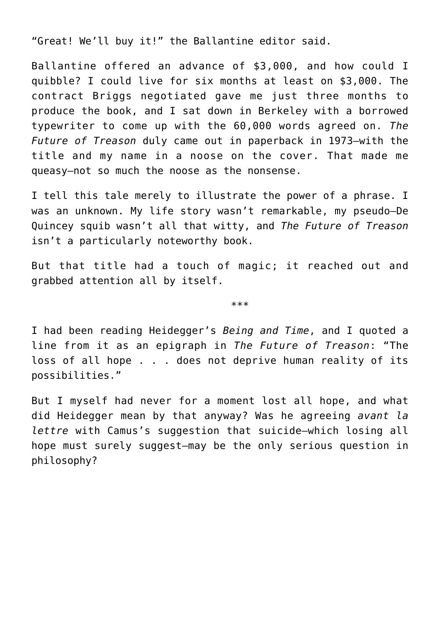"Great! We'll buy it!" the Ballantine editor said.

Ballantine offered an advance of \$3,000, and how could I quibble? I could live for six months at least on \$3,000. The contract Briggs negotiated gave me just three months to produce the book, and I sat down in Berkeley with a borrowed typewriter to come up with the 60,000 words agreed on. *The Future of Treason* duly came out in paperback in 1973—with the title and my name in a noose on the cover. That made me queasy—not so much the noose as the nonsense.

I tell this tale merely to illustrate the power of a phrase. I was an unknown. My life story wasn't remarkable, my pseudo–De Quincey squib wasn't all that witty, and *The Future of Treason* isn't a particularly noteworthy book.

But that title had a touch of magic; it reached out and grabbed attention all by itself.

\*\*\*

I had been reading Heidegger's *Being and Time*, and I quoted a line from it as an epigraph in *The Future of Treason*: "The loss of all hope . . . does not deprive human reality of its possibilities."

But I myself had never for a moment lost all hope, and what did Heidegger mean by that anyway? Was he agreeing *avant la lettre* with Camus's suggestion that suicide—which losing all hope must surely suggest–may be the only serious question in philosophy?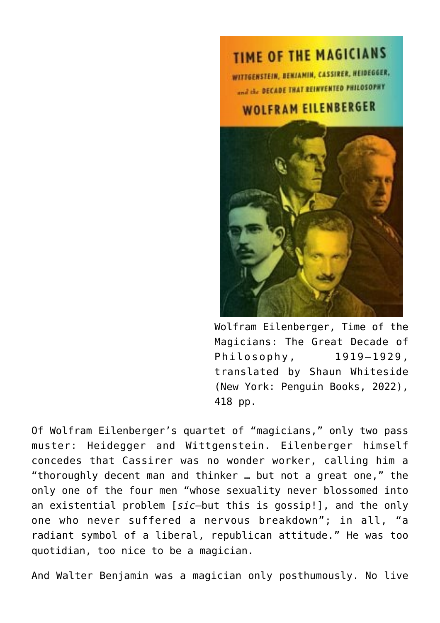**TIME OF THE MAGICIANS** WITTGENSTEIN, BENJAMIN, CASSIRER, HEIDEGGER, and the DECADE THAT REINVENTED PHILOSOPHY WOLFRAM EILENBERGER



Wolfram Eilenberger, Time of the Magicians: The Great Decade of Philosophy, 1919–1929, translated by Shaun Whiteside (New York: Penguin Books, 2022), 418 pp.

Of Wolfram Eilenberger's quartet of "magicians," only two pass muster: Heidegger and Wittgenstein. Eilenberger himself concedes that Cassirer was no wonder worker, calling him a "thoroughly decent man and thinker … but not a great one," the only one of the four men "whose sexuality never blossomed into an existential problem [*sic*—but this is gossip!], and the only one who never suffered a nervous breakdown"; in all, "a radiant symbol of a liberal, republican attitude." He was too quotidian, too nice to be a magician.

And Walter Benjamin was a magician only posthumously. No live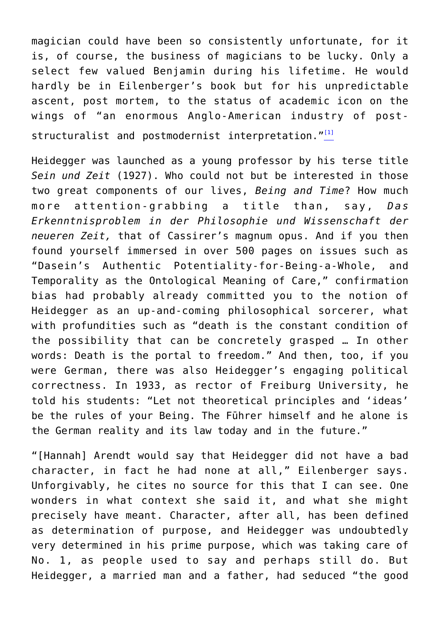magician could have been so consistently unfortunate, for it is, of course, the business of magicians to be lucky. Only a select few valued Benjamin during his lifetime. He would hardly be in Eilenberger's book but for his unpredictable ascent, post mortem, to the status of academic icon on the wings of "an enormous Anglo-American industry of post-structuralist and postmodernist interpretation."<sup>[\[1\]](#page-9-0)</sup>

<span id="page-4-0"></span>Heidegger was launched as a young professor by his terse title *Sein und Zeit* (1927). Who could not but be interested in those two great components of our lives, *Being and Time*? How much more attention-grabbing a title than, say, *Das Erkenntnisproblem in der Philosophie und Wissenschaft der neueren Zeit,* that of Cassirer's magnum opus. And if you then found yourself immersed in over 500 pages on issues such as "Dasein's Authentic Potentiality-for-Being-a-Whole, and Temporality as the Ontological Meaning of Care," confirmation bias had probably already committed you to the notion of Heidegger as an up-and-coming philosophical sorcerer, what with profundities such as "death is the constant condition of the possibility that can be concretely grasped … In other words: Death is the portal to freedom." And then, too, if you were German, there was also Heidegger's engaging political correctness. In 1933, as rector of Freiburg University, he told his students: "Let not theoretical principles and 'ideas' be the rules of your Being. The Fūhrer himself and he alone is the German reality and its law today and in the future."

"[Hannah] Arendt would say that Heidegger did not have a bad character, in fact he had none at all," Eilenberger says. Unforgivably, he cites no source for this that I can see. One wonders in what context she said it, and what she might precisely have meant. Character, after all, has been defined as determination of purpose, and Heidegger was undoubtedly very determined in his prime purpose, which was taking care of No. 1, as people used to say and perhaps still do. But Heidegger, a married man and a father, had seduced "the good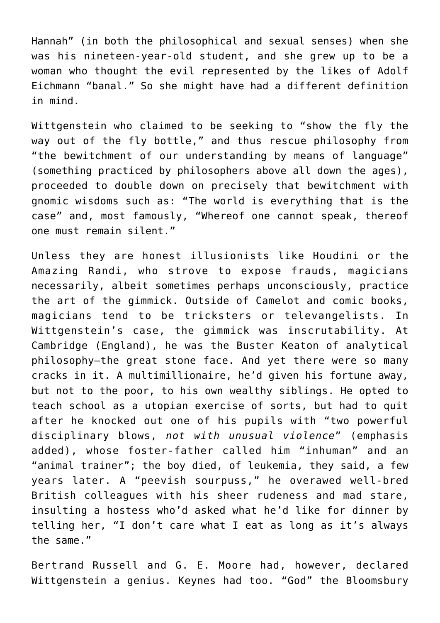Hannah" (in both the philosophical and sexual senses) when she was his nineteen-year-old student, and she grew up to be a woman who thought the evil represented by the likes of Adolf Eichmann "banal." So she might have had a different definition in mind.

Wittgenstein who claimed to be seeking to "show the fly the way out of the fly bottle," and thus rescue philosophy from "the bewitchment of our understanding by means of language" (something practiced by philosophers above all down the ages), proceeded to double down on precisely that bewitchment with gnomic wisdoms such as: "The world is everything that is the case" and, most famously, "Whereof one cannot speak, thereof one must remain silent."

Unless they are honest illusionists like Houdini or the Amazing Randi, who strove to expose frauds, magicians necessarily, albeit sometimes perhaps unconsciously, practice the art of the gimmick. Outside of Camelot and comic books, magicians tend to be tricksters or televangelists. In Wittgenstein's case, the gimmick was inscrutability. At Cambridge (England), he was the Buster Keaton of analytical philosophy—the great stone face. And yet there were so many cracks in it. A multimillionaire, he'd given his fortune away, but not to the poor, to his own wealthy siblings. He opted to teach school as a utopian exercise of sorts, but had to quit after he knocked out one of his pupils with "two powerful disciplinary blows, *not with unusual violence*" (emphasis added), whose foster-father called him "inhuman" and an "animal trainer"; the boy died, of leukemia, they said, a few years later. A "peevish sourpuss," he overawed well-bred British colleagues with his sheer rudeness and mad stare, insulting a hostess who'd asked what he'd like for dinner by telling her, "I don't care what I eat as long as it's always the same."

Bertrand Russell and G. E. Moore had, however, declared Wittgenstein a genius. Keynes had too. "God" the Bloomsbury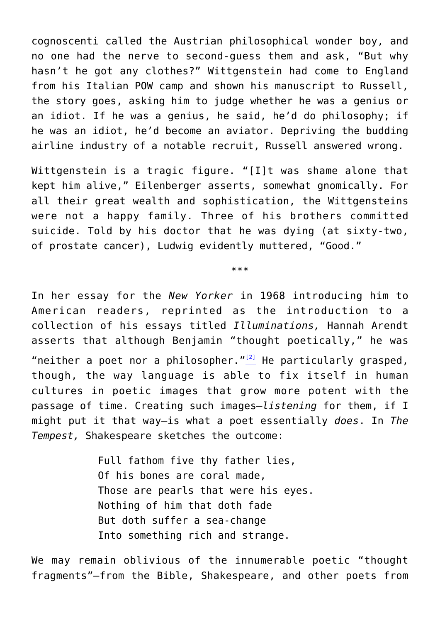cognoscenti called the Austrian philosophical wonder boy, and no one had the nerve to second-guess them and ask, "But why hasn't he got any clothes?" Wittgenstein had come to England from his Italian POW camp and shown his manuscript to Russell, the story goes, asking him to judge whether he was a genius or an idiot. If he was a genius, he said, he'd do philosophy; if he was an idiot, he'd become an aviator. Depriving the budding airline industry of a notable recruit, Russell answered wrong.

Wittgenstein is a tragic figure. "[I]t was shame alone that kept him alive," Eilenberger asserts, somewhat gnomically. For all their great wealth and sophistication, the Wittgensteins were not a happy family. Three of his brothers committed suicide. Told by his doctor that he was dying (at sixty-two, of prostate cancer), Ludwig evidently muttered, "Good."

\*\*\*

<span id="page-6-0"></span>In her essay for the *New Yorker* in 1968 introducing him to American readers, reprinted as the introduction to a collection of his essays titled *Illuminations,* Hannah Arendt asserts that although Benjamin "thought poetically," he was "neither a poet nor a philosopher." $[2]$  He particularly grasped, though, the way language is able to fix itself in human cultures in poetic images that grow more potent with the passage of time. Creating such images—*listening* for them, if I might put it that way—is what a poet essentially *does*. In *The Tempest,* Shakespeare sketches the outcome:

> Full fathom five thy father lies, Of his bones are coral made, Those are pearls that were his eyes. Nothing of him that doth fade But doth suffer a sea-change Into something rich and strange.

We may remain oblivious of the innumerable poetic "thought fragments"—from the Bible, Shakespeare, and other poets from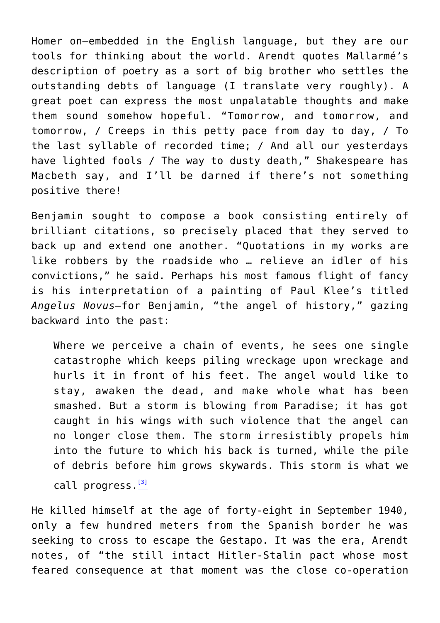Homer on—embedded in the English language, but they are our tools for thinking about the world. Arendt quotes Mallarmé's description of poetry as a sort of big brother who settles the outstanding debts of language (I translate very roughly). A great poet can express the most unpalatable thoughts and make them sound somehow hopeful. "Tomorrow, and tomorrow, and tomorrow, / Creeps in this petty pace from day to day, / To the last syllable of recorded time; / And all our yesterdays have lighted fools / The way to dusty death," Shakespeare has Macbeth say, and I'll be darned if there's not something positive there!

Benjamin sought to compose a book consisting entirely of brilliant citations, so precisely placed that they served to back up and extend one another. "Quotations in my works are like robbers by the roadside who … relieve an idler of his convictions," he said. Perhaps his most famous flight of fancy is his interpretation of a painting of Paul Klee's titled *Angelus Novus—*for Benjamin, "the angel of history," gazing backward into the past:

Where we perceive a chain of events, he sees one single catastrophe which keeps piling wreckage upon wreckage and hurls it in front of his feet. The angel would like to stay, awaken the dead, and make whole what has been smashed. But a storm is blowing from Paradise; it has got caught in his wings with such violence that the angel can no longer close them. The storm irresistibly propels him into the future to which his back is turned, while the pile of debris before him grows skywards. This storm is what we call progress.<sup>[\[3\]](#page-9-2)</sup>

<span id="page-7-1"></span><span id="page-7-0"></span>He killed himself at the age of forty-eight in September 1940, only a few hundred meters from the Spanish border he was seeking to cross to escape the Gestapo. It was the era, Arendt notes, of "the still intact Hitler-Stalin pact whose most feared consequence at that moment was the close co-operation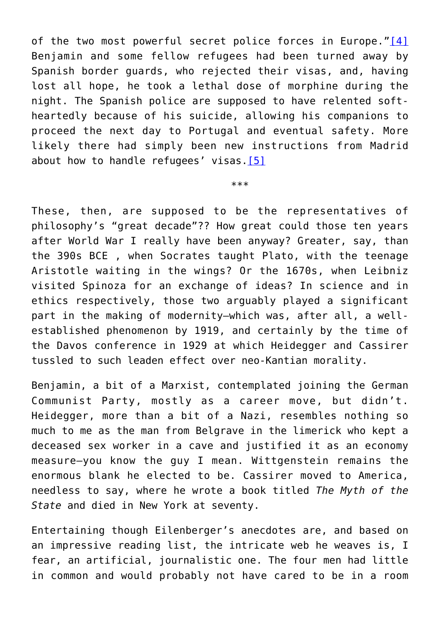of the two most powerful secret police forces in Europe." $[4]$ Benjamin and some fellow refugees had been turned away by Spanish border guards, who rejected their visas, and, having lost all hope, he took a lethal dose of morphine during the night. The Spanish police are supposed to have relented softheartedly because of his suicide, allowing his companions to proceed the next day to Portugal and eventual safety. More likely there had simply been new instructions from Madrid about how to handle refugees' visas[.\[5\]](#page-9-4)

\*\*\*

<span id="page-8-0"></span>These, then, are supposed to be the representatives of philosophy's "great decade"?? How great could those ten years after World War I really have been anyway? Greater, say, than the 390s BCE , when Socrates taught Plato, with the teenage Aristotle waiting in the wings? Or the 1670s, when Leibniz visited Spinoza for an exchange of ideas? In science and in ethics respectively, those two arguably played a significant part in the making of modernity—which was, after all, a wellestablished phenomenon by 1919, and certainly by the time of the Davos conference in 1929 at which Heidegger and Cassirer tussled to such leaden effect over neo-Kantian morality.

Benjamin, a bit of a Marxist, contemplated joining the German Communist Party, mostly as a career move, but didn't. Heidegger, more than a bit of a Nazi, resembles nothing so much to me as the man from Belgrave in the limerick who kept a deceased sex worker in a cave and justified it as an economy measure—you know the guy I mean. Wittgenstein remains the enormous blank he elected to be. Cassirer moved to America, needless to say, where he wrote a book titled *The Myth of the State* and died in New York at seventy.

Entertaining though Eilenberger's anecdotes are, and based on an impressive reading list, the intricate web he weaves is, I fear, an artificial, journalistic one. The four men had little in common and would probably not have cared to be in a room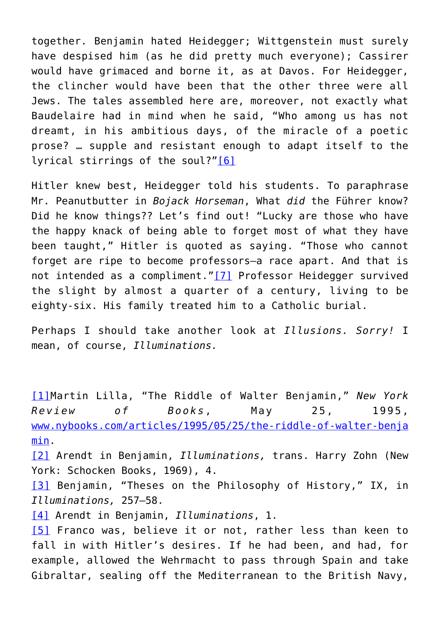together. Benjamin hated Heidegger; Wittgenstein must surely have despised him (as he did pretty much everyone); Cassirer would have grimaced and borne it, as at Davos. For Heidegger, the clincher would have been that the other three were all Jews. The tales assembled here are, moreover, not exactly what Baudelaire had in mind when he said, "Who among us has not dreamt, in his ambitious days, of the miracle of a poetic prose? … supple and resistant enough to adapt itself to the lyrical stirrings of the soul?["\[6\]](#page-10-0)

<span id="page-9-5"></span>Hitler knew best, Heidegger told his students. To paraphrase Mr. Peanutbutter in *Bojack Horseman*, What *did* the Führer know? Did he know things?? Let's find out! "Lucky are those who have the happy knack of being able to forget most of what they have been taught," Hitler is quoted as saying. "Those who cannot forget are ripe to become professors—a race apart. And that is not intended as a compliment."[\[7\]](#page-10-1) Professor Heidegger survived the slight by almost a quarter of a century, living to be eighty-six. His family treated him to a Catholic burial.

<span id="page-9-6"></span>Perhaps I should take another look at *Illusions. Sorry!* I mean, of course, *Illuminations.*

<span id="page-9-0"></span>[\[1\]](#page-4-0)Martin Lilla, "The Riddle of Walter Benjamin," *New York Review of Books*, May 25, 1995, [www.nybooks.com/articles/1995/05/25/the-riddle-of-walter-benja](https://www.nybooks.com/articles/1995/05/25/the-riddle-of-walter-benjamin) [min.](https://www.nybooks.com/articles/1995/05/25/the-riddle-of-walter-benjamin)

<span id="page-9-1"></span>[\[2\]](#page-6-0) Arendt in Benjamin, *Illuminations,* trans. Harry Zohn (New York: Schocken Books, 1969), 4.

<span id="page-9-2"></span>[\[3\]](#page-7-0) Benjamin, "Theses on the Philosophy of History," IX, in *Illuminations,* 257–58.

<span id="page-9-3"></span>[\[4\]](#page-7-1) Arendt in Benjamin, *Illuminations*, 1.

<span id="page-9-4"></span>[\[5\]](#page-8-0) Franco was, believe it or not, rather less than keen to fall in with Hitler's desires. If he had been, and had, for example, allowed the Wehrmacht to pass through Spain and take Gibraltar, sealing off the Mediterranean to the British Navy,